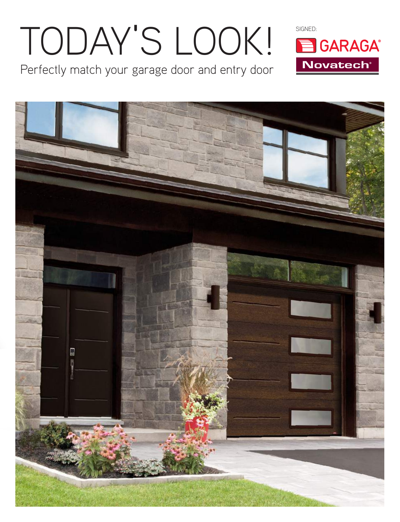# TODAY'S LOOK! BGARAGA

Perfectly match your garage door and entry door



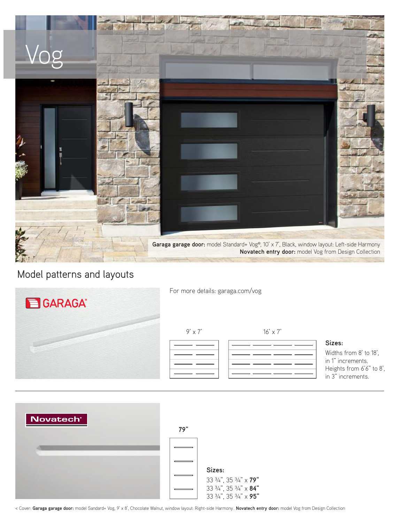

### Model patterns and layouts

| <b>B</b> GARAGA® | For more details: garaga.com/vog |                 |                                                                                                        |
|------------------|----------------------------------|-----------------|--------------------------------------------------------------------------------------------------------|
|                  | $9' \times 7'$                   | $16' \times 7'$ | Sizes:<br>Widths from 8' to 18'.<br>in 1" increments.<br>Heights from 6'6" to 8',<br>in 3" increments. |



< Cover: **Garaga garage door:** model Sandard+ Vog, 9' x 8', Chocolate Walnut, window layout: Right-side Harmony . **Novatech entry door:** model Vog from Design Collection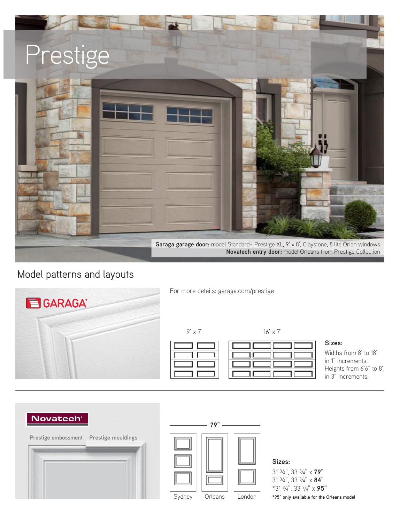

### Model patterns and layouts



For more details: garaga.com/prestige

### **Sizes:**

Widths from 8' to 18', in 1" increments. Heights from 6'6" to 8', in 3" increments.

### **Novatech**





### **Sizes:**

31 ¾", 33 ¾" x **79"**  31 ¾", 33 ¾" x **84"** \*31 ¾", 33 ¾" x **95"**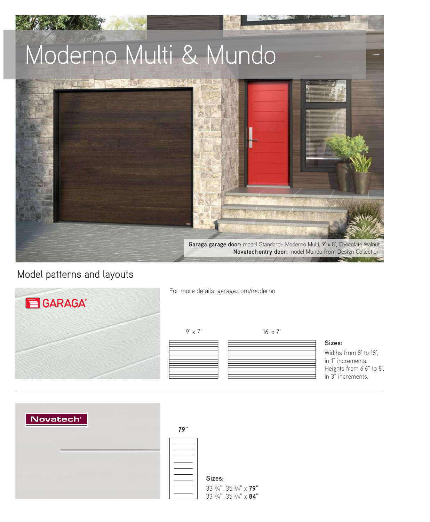

### Model patterns and layouts

| <b>B</b> GARAGA® | For more details: garaga.com/moderno |                 |                                                                                                        |
|------------------|--------------------------------------|-----------------|--------------------------------------------------------------------------------------------------------|
|                  | $9' \times 7'$                       | $16' \times 7'$ | Sizes:<br>Widths from 8' to 18',<br>in 1" increments.<br>Heights from 6'6" to 8',<br>in 3" increments. |

| Novatech <sup>®</sup> | 79" |                                                            |
|-----------------------|-----|------------------------------------------------------------|
|                       |     |                                                            |
|                       |     | Sizes:<br>33 3/4", 35 3/4" x 79"<br>33 3/4", 35 3/4" x 84" |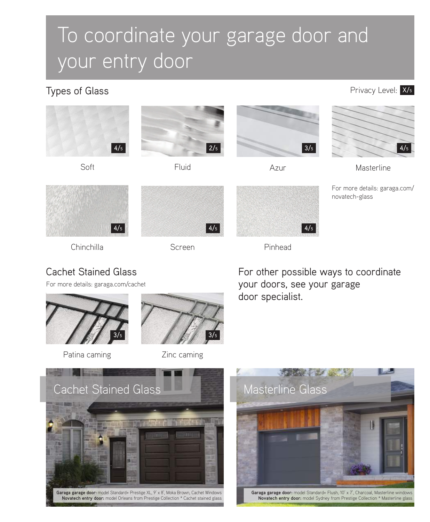## To coordinate your garage door and your entry door

Types of Glass

Privacy Level: X/5







Chinchilla



Screen



Pinhead

Cachet Stained Glass

For more details: garaga.com/cachet



Patina caming



Zinc caming

For other possible ways to coordinate your doors, see your garage door specialist.



**Garaga garage door:** model Standard+ Prestige XL, 9' x 8', Moka Brown, Cachet Windows **Novatech entry door:** model Orleans from Prestige Collection \* Cachet stained glass



**Garaga garage door:** model Standard+ Flush, 10' x 7', Charcoal, Masterline windows **Novatech entry door:** model Sydney from Prestige Collection \* Masterline glass